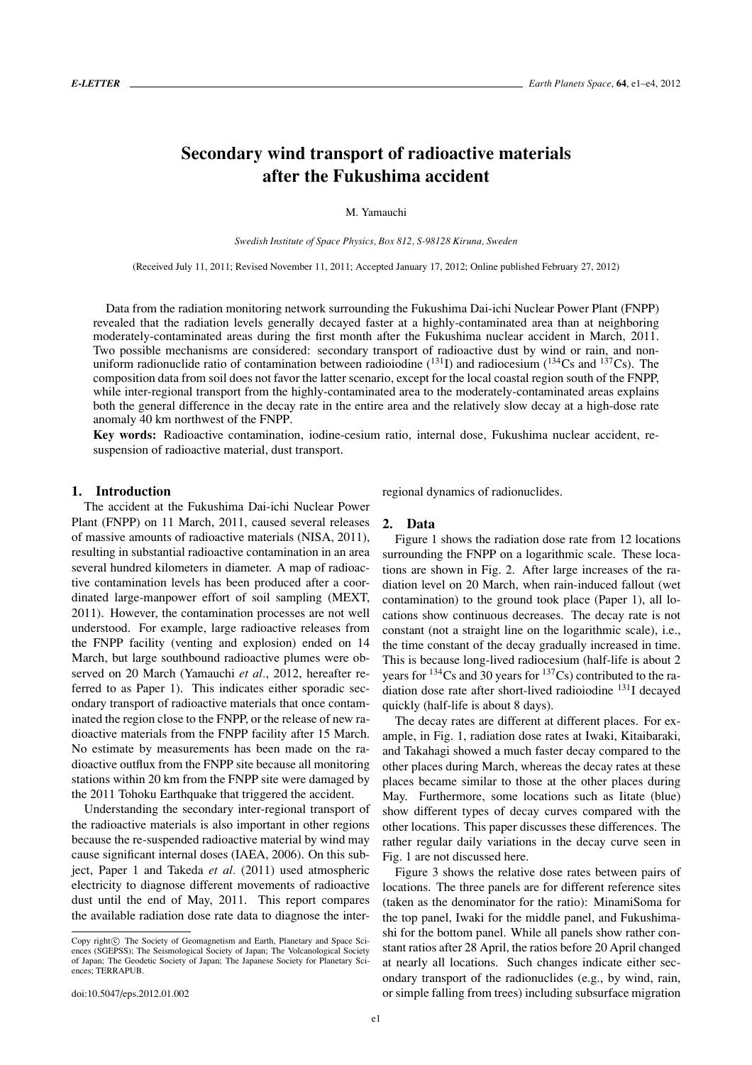# **Secondary wind transport of radioactive materials after the Fukushima accident**

M. Yamauchi

*Swedish Institute of Space Physics, Box 812, S-98128 Kiruna, Sweden*

(Received July 11, 2011; Revised November 11, 2011; Accepted January 17, 2012; Online published February 27, 2012)

Data from the radiation monitoring network surrounding the Fukushima Dai-ichi Nuclear Power Plant (FNPP) revealed that the radiation levels generally decayed faster at a highly-contaminated area than at neighboring moderately-contaminated areas during the first month after the Fukushima nuclear accident in March, 2011. Two possible mechanisms are considered: secondary transport of radioactive dust by wind or rain, and nonuniform radionuclide ratio of contamination between radioiodine  $(^{131}I)$  and radiocesium  $(^{134}Cs$  and  $^{137}Cs$ ). The composition data from soil does not favor the latter scenario, except for the local coastal region south of the FNPP, while inter-regional transport from the highly-contaminated area to the moderately-contaminated areas explains both the general difference in the decay rate in the entire area and the relatively slow decay at a high-dose rate anomaly 40 km northwest of the FNPP.

**Key words:** Radioactive contamination, iodine-cesium ratio, internal dose, Fukushima nuclear accident, resuspension of radioactive material, dust transport.

## **1. Introduction**

The accident at the Fukushima Dai-ichi Nuclear Power Plant (FNPP) on 11 March, 2011, caused several releases of massive amounts of radioactive materials (NISA, 2011), resulting in substantial radioactive contamination in an area several hundred kilometers in diameter. A map of radioactive contamination levels has been produced after a coordinated large-manpower effort of soil sampling (MEXT, 2011). However, the contamination processes are not well understood. For example, large radioactive releases from the FNPP facility (venting and explosion) ended on 14 March, but large southbound radioactive plumes were observed on 20 March (Yamauchi *et al.*, 2012, hereafter referred to as Paper 1). This indicates either sporadic secondary transport of radioactive materials that once contaminated the region close to the FNPP, or the release of new radioactive materials from the FNPP facility after 15 March. No estimate by measurements has been made on the radioactive outflux from the FNPP site because all monitoring stations within 20 km from the FNPP site were damaged by the 2011 Tohoku Earthquake that triggered the accident.

Understanding the secondary inter-regional transport of the radioactive materials is also important in other regions because the re-suspended radioactive material by wind may cause significant internal doses (IAEA, 2006). On this subject, Paper 1 and Takeda *et al.* (2011) used atmospheric electricity to diagnose different movements of radioactive dust until the end of May, 2011. This report compares the available radiation dose rate data to diagnose the interregional dynamics of radionuclides.

### **2. Data**

Figure 1 shows the radiation dose rate from 12 locations surrounding the FNPP on a logarithmic scale. These locations are shown in Fig. 2. After large increases of the radiation level on 20 March, when rain-induced fallout (wet contamination) to the ground took place (Paper 1), all locations show continuous decreases. The decay rate is not constant (not a straight line on the logarithmic scale), i.e., the time constant of the decay gradually increased in time. This is because long-lived radiocesium (half-life is about 2 years for  $134$ Cs and 30 years for  $137$ Cs) contributed to the radiation dose rate after short-lived radioiodine 131I decayed quickly (half-life is about 8 days).

The decay rates are different at different places. For example, in Fig. 1, radiation dose rates at Iwaki, Kitaibaraki, and Takahagi showed a much faster decay compared to the other places during March, whereas the decay rates at these places became similar to those at the other places during May. Furthermore, some locations such as Iitate (blue) show different types of decay curves compared with the other locations. This paper discusses these differences. The rather regular daily variations in the decay curve seen in Fig. 1 are not discussed here.

Figure 3 shows the relative dose rates between pairs of locations. The three panels are for different reference sites (taken as the denominator for the ratio): MinamiSoma for the top panel, Iwaki for the middle panel, and Fukushimashi for the bottom panel. While all panels show rather constant ratios after 28 April, the ratios before 20 April changed at nearly all locations. Such changes indicate either secondary transport of the radionuclides (e.g., by wind, rain, or simple falling from trees) including subsurface migration

Copy right© The Society of Geomagnetism and Earth, Planetary and Space Sciences (SGEPSS); The Seismological Society of Japan; The Volcanological Society of Japan; The Geodetic Society of Japan; The Japanese Society for Planetary Sciences; TERRAPUB.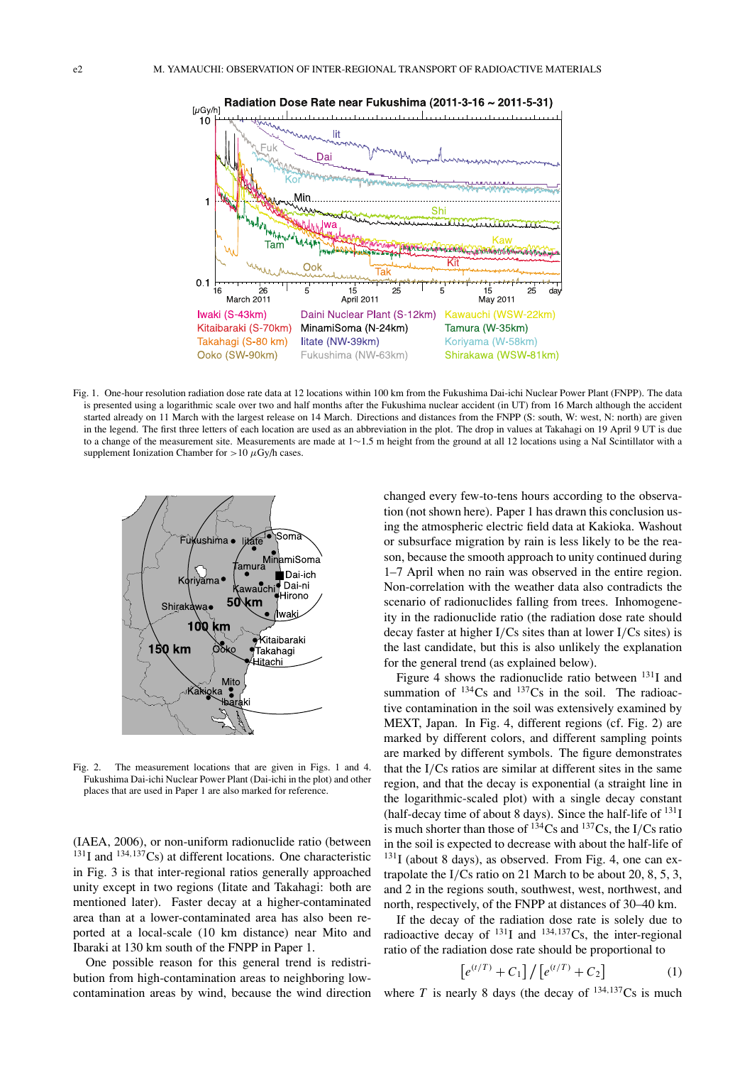

Fig. 1. One-hour resolution radiation dose rate data at 12 locations within 100 km from the Fukushima Dai-ichi Nuclear Power Plant (FNPP). The data is presented using a logarithmic scale over two and half months after the Fukushima nuclear accident (in UT) from 16 March although the accident started already on 11 March with the largest release on 14 March. Directions and distances from the FNPP (S: south, W: west, N: north) are given in the legend. The first three letters of each location are used as an abbreviation in the plot. The drop in values at Takahagi on 19 April 9 UT is due to a change of the measurement site. Measurements are made at 1∼1.5 m height from the ground at all 12 locations using a NaI Scintillator with a supplement Ionization Chamber for  $>10 \mu Gy/h$  cases.



Fig. 2. The measurement locations that are given in Figs. 1 and 4. Fukushima Dai-ichi Nuclear Power Plant (Dai-ichi in the plot) and other places that are used in Paper 1 are also marked for reference.

(IAEA, 2006), or non-uniform radionuclide ratio (between  $131$ I and  $134,137$ Cs) at different locations. One characteristic in Fig. 3 is that inter-regional ratios generally approached unity except in two regions (Iitate and Takahagi: both are mentioned later). Faster decay at a higher-contaminated area than at a lower-contaminated area has also been reported at a local-scale (10 km distance) near Mito and Ibaraki at 130 km south of the FNPP in Paper 1.

One possible reason for this general trend is redistribution from high-contamination areas to neighboring lowcontamination areas by wind, because the wind direction changed every few-to-tens hours according to the observation (not shown here). Paper 1 has drawn this conclusion using the atmospheric electric field data at Kakioka. Washout or subsurface migration by rain is less likely to be the reason, because the smooth approach to unity continued during 1–7 April when no rain was observed in the entire region. Non-correlation with the weather data also contradicts the scenario of radionuclides falling from trees. Inhomogeneity in the radionuclide ratio (the radiation dose rate should decay faster at higher I/Cs sites than at lower I/Cs sites) is the last candidate, but this is also unlikely the explanation for the general trend (as explained below).

Figure 4 shows the radionuclide ratio between  $^{131}$ I and summation of  $134Cs$  and  $137Cs$  in the soil. The radioactive contamination in the soil was extensively examined by MEXT, Japan. In Fig. 4, different regions (cf. Fig. 2) are marked by different colors, and different sampling points are marked by different symbols. The figure demonstrates that the I/Cs ratios are similar at different sites in the same region, and that the decay is exponential (a straight line in the logarithmic-scaled plot) with a single decay constant (half-decay time of about 8 days). Since the half-life of  $^{131}I$ is much shorter than those of  $^{134}Cs$  and  $^{137}Cs$ , the I/Cs ratio in the soil is expected to decrease with about the half-life of  $^{131}$ I (about 8 days), as observed. From Fig. 4, one can extrapolate the I/Cs ratio on 21 March to be about 20, 8, 5, 3, and 2 in the regions south, southwest, west, northwest, and north, respectively, of the FNPP at distances of 30–40 km.

If the decay of the radiation dose rate is solely due to radioactive decay of  $^{131}I$  and  $^{134,137}Cs$ , the inter-regional ratio of the radiation dose rate should be proportional to

$$
[e^{(t/T)} + C_1] / [e^{(t/T)} + C_2]
$$
 (1)

where *T* is nearly 8 days (the decay of  $^{134,137}$ Cs is much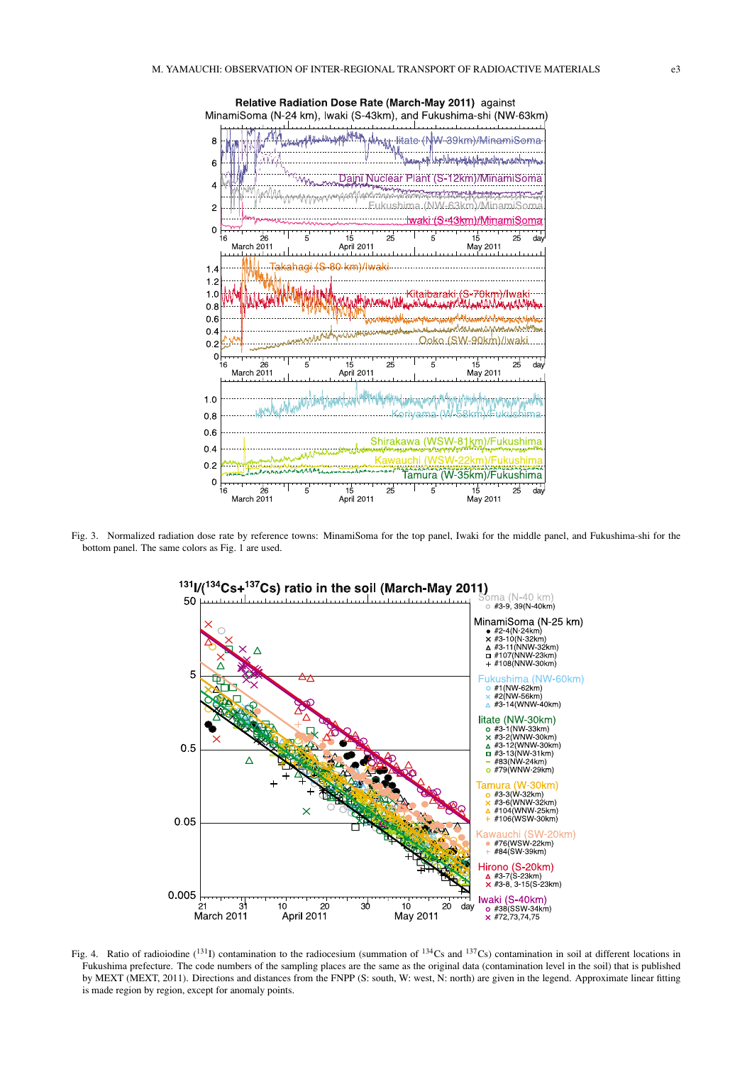

Fig. 3. Normalized radiation dose rate by reference towns: MinamiSoma for the top panel, Iwaki for the middle panel, and Fukushima-shi for the bottom panel. The same colors as Fig. 1 are used.



Fig. 4. Ratio of radioiodine  $(^{131}I)$  contamination to the radiocesium (summation of  $^{134}Cs$  and  $^{137}Cs$ ) contamination in soil at different locations in Fukushima prefecture. The code numbers of the sampling places are the same as the original data (contamination level in the soil) that is published by MEXT (MEXT, 2011). Directions and distances from the FNPP (S: south, W: west, N: north) are given in the legend. Approximate linear fitting is made region by region, except for anomaly points.